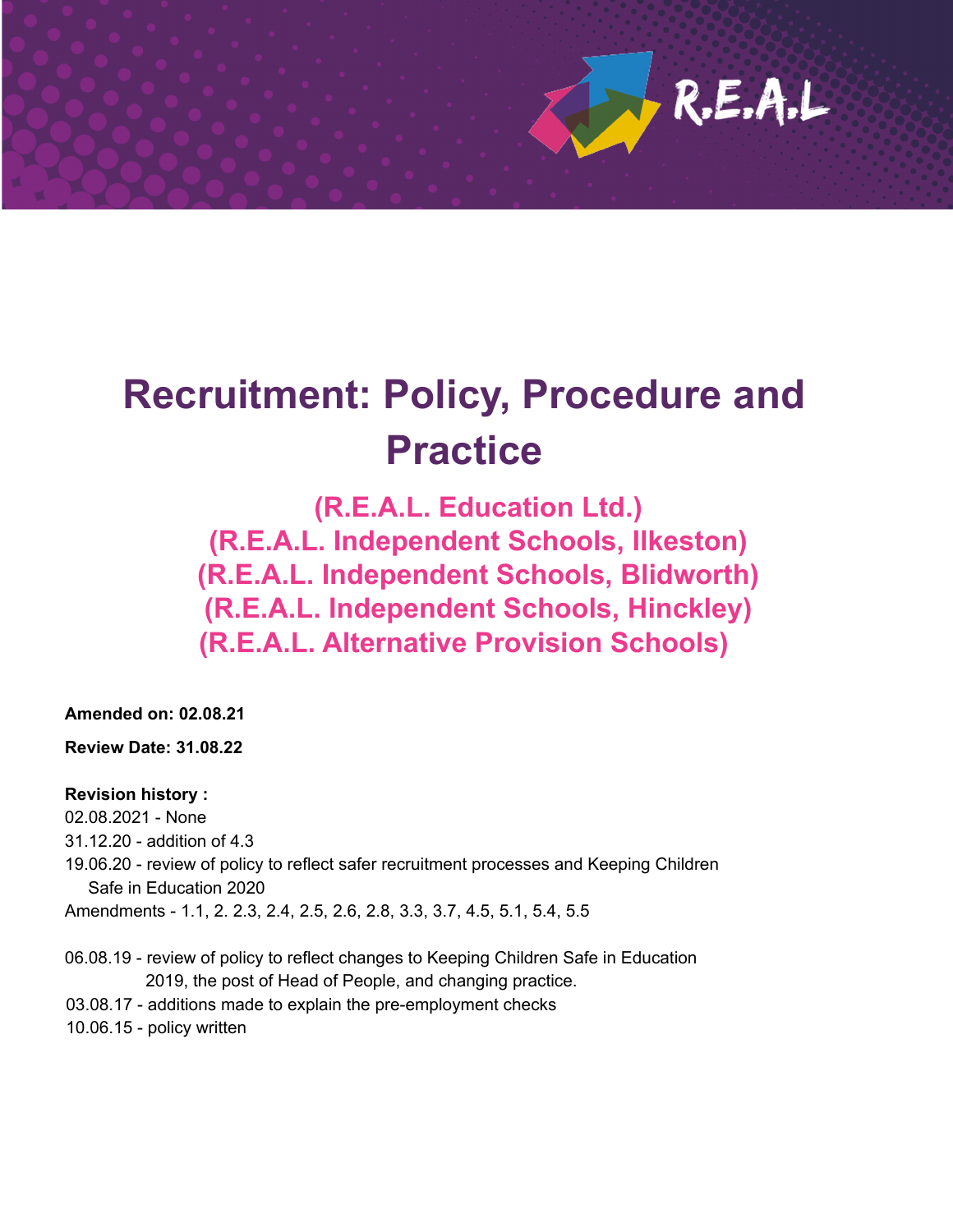

# **Recruitment: Policy, Procedure and Practice**

**(R.E.A.L. Education Ltd.) (R.E.A.L. Independent Schools, Ilkeston) (R.E.A.L. Independent Schools, Blidworth) (R.E.A.L. Independent Schools, Hinckley) (R.E.A.L. Alternative Provision Schools)**

**Amended on: 02.08.21**

**Review Date: 31.08.22**

#### **Revision history :**

02.08.2021 - None

- 31.12.20 addition of 4.3
- 19.06.20 review of policy to reflect safer recruitment processes and Keeping Children Safe in Education 2020

Amendments - 1.1, 2. 2.3, 2.4, 2.5, 2.6, 2.8, 3.3, 3.7, 4.5, 5.1, 5.4, 5.5

- 06.08.19 review of policy to reflect changes to Keeping Children Safe in Education 2019, the post of Head of People, and changing practice.
- 03.08.17 additions made to explain the pre-employment checks
- 10.06.15 policy written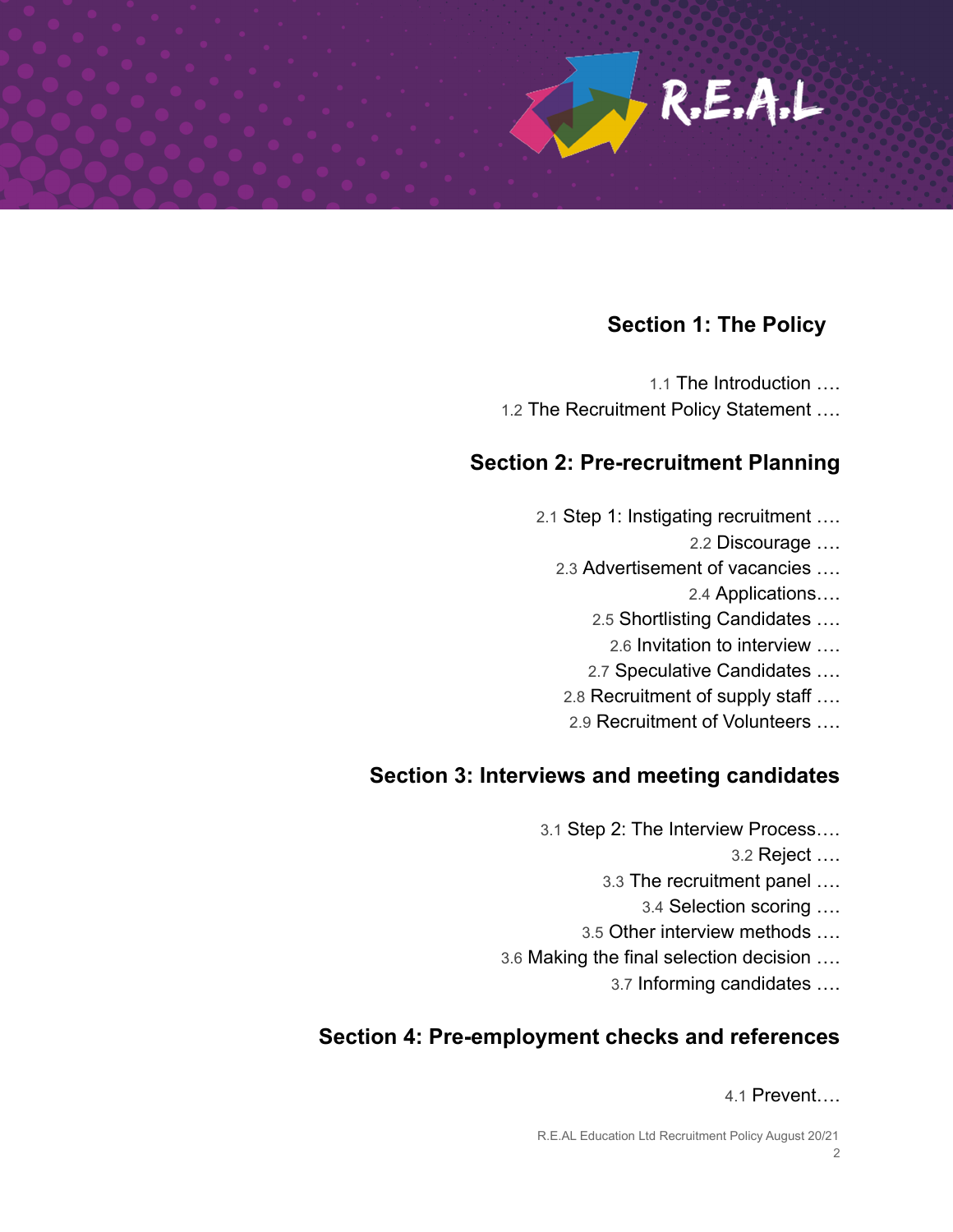

#### **Section 1: The Policy**

1.1 The Introduction …. 1.2 The Recruitment Policy Statement ….

#### **Section 2: Pre-recruitment Planning**

- 2.1 Step 1: Instigating recruitment ….
	- 2.2 Discourage ….
	- 2.3 Advertisement of vacancies ….
		- 2.4 Applications….
		- 2.5 Shortlisting Candidates ….
			- 2.6 Invitation to interview ….
		- 2.7 Speculative Candidates ….
	- 2.8 Recruitment of supply staff ….
	- 2.9 Recruitment of Volunteers ….

#### **Section 3: Interviews and meeting candidates**

- 3.1 Step 2: The Interview Process….
	- 3.2 Reject ….
	- 3.3 The recruitment panel ….
		- 3.4 Selection scoring ….
	- 3.5 Other interview methods ….
- 3.6 Making the final selection decision ….
	- 3.7 Informing candidates ….

#### **Section 4: Pre-employment checks and references**

4.1 Prevent….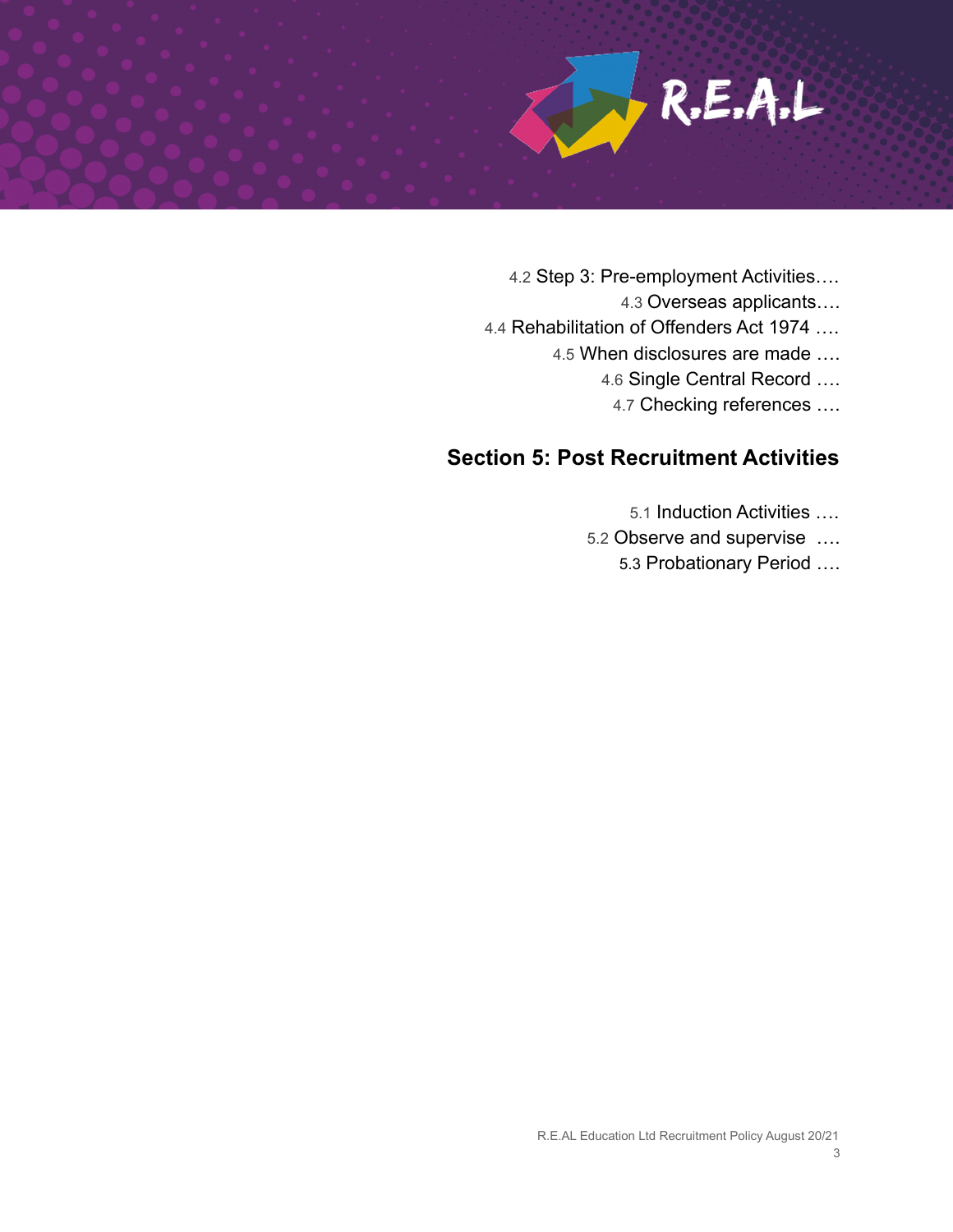

- 4.2 Step 3: Pre-employment Activities….
	- 4.3 Overseas applicants….
- 4.4 Rehabilitation of Offenders Act 1974 ….
	- 4.5 When disclosures are made ….
		- 4.6 Single Central Record ….
			- 4.7 Checking references ….

#### **Section 5: Post Recruitment Activities**

- 5.1 Induction Activities ….
- 5.2 Observe and supervise ….
	- 5.3 Probationary Period ….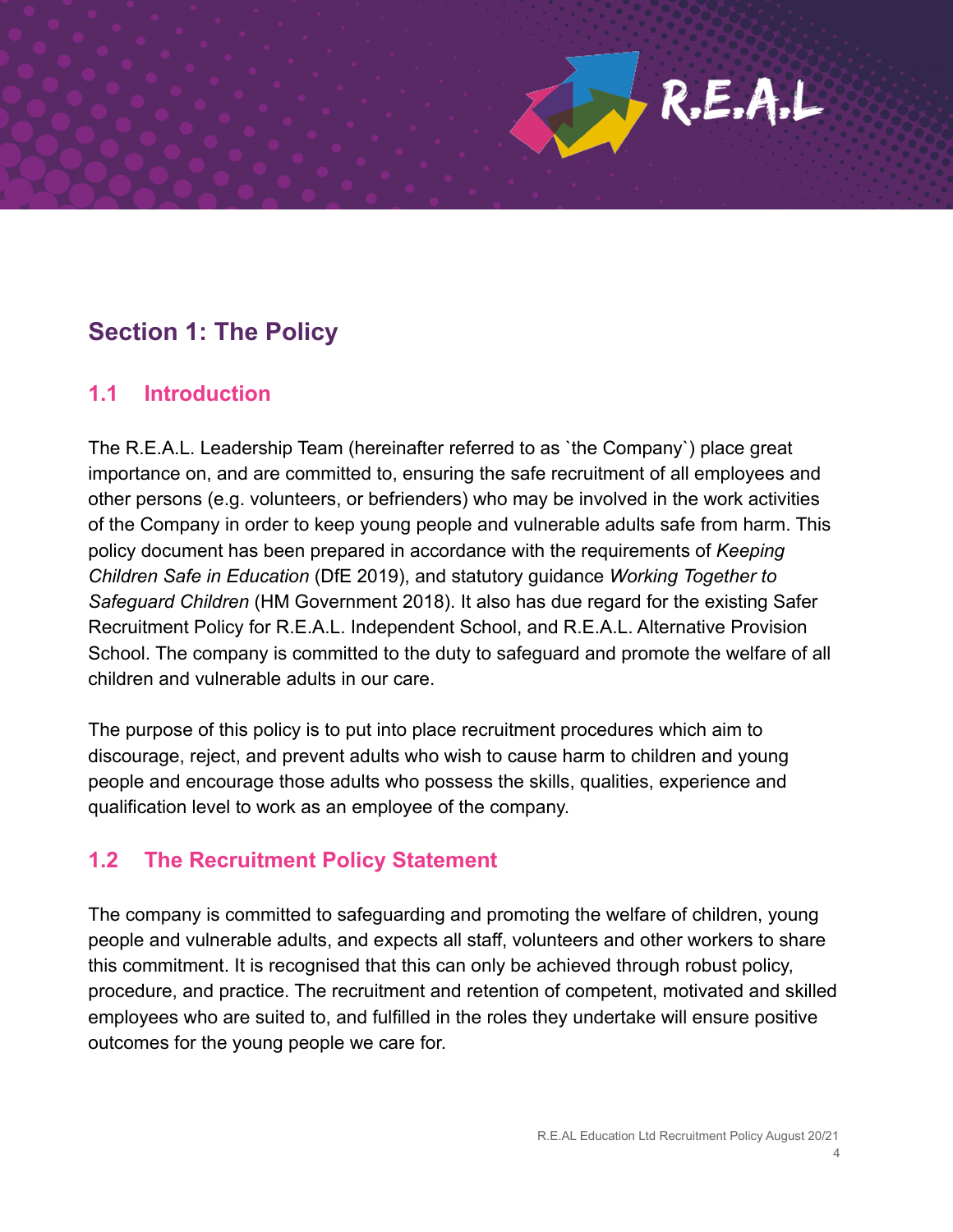# R.E.A.L

# **Section 1: The Policy**

#### **1.1 Introduction**

The R.E.A.L. Leadership Team (hereinafter referred to as `the Company`) place great importance on, and are committed to, ensuring the safe recruitment of all employees and other persons (e.g. volunteers, or befrienders) who may be involved in the work activities of the Company in order to keep young people and vulnerable adults safe from harm. This policy document has been prepared in accordance with the requirements of *Keeping Children Safe in Education* (DfE 2019), and statutory guidance *Working Together to Safeguard Children* (HM Government 2018). It also has due regard for the existing Safer Recruitment Policy for R.E.A.L. Independent School, and R.E.A.L. Alternative Provision School. The company is committed to the duty to safeguard and promote the welfare of all children and vulnerable adults in our care.

The purpose of this policy is to put into place recruitment procedures which aim to discourage, reject, and prevent adults who wish to cause harm to children and young people and encourage those adults who possess the skills, qualities, experience and qualification level to work as an employee of the company.

#### **1.2 The Recruitment Policy Statement**

The company is committed to safeguarding and promoting the welfare of children, young people and vulnerable adults, and expects all staff, volunteers and other workers to share this commitment. It is recognised that this can only be achieved through robust policy, procedure, and practice. The recruitment and retention of competent, motivated and skilled employees who are suited to, and fulfilled in the roles they undertake will ensure positive outcomes for the young people we care for.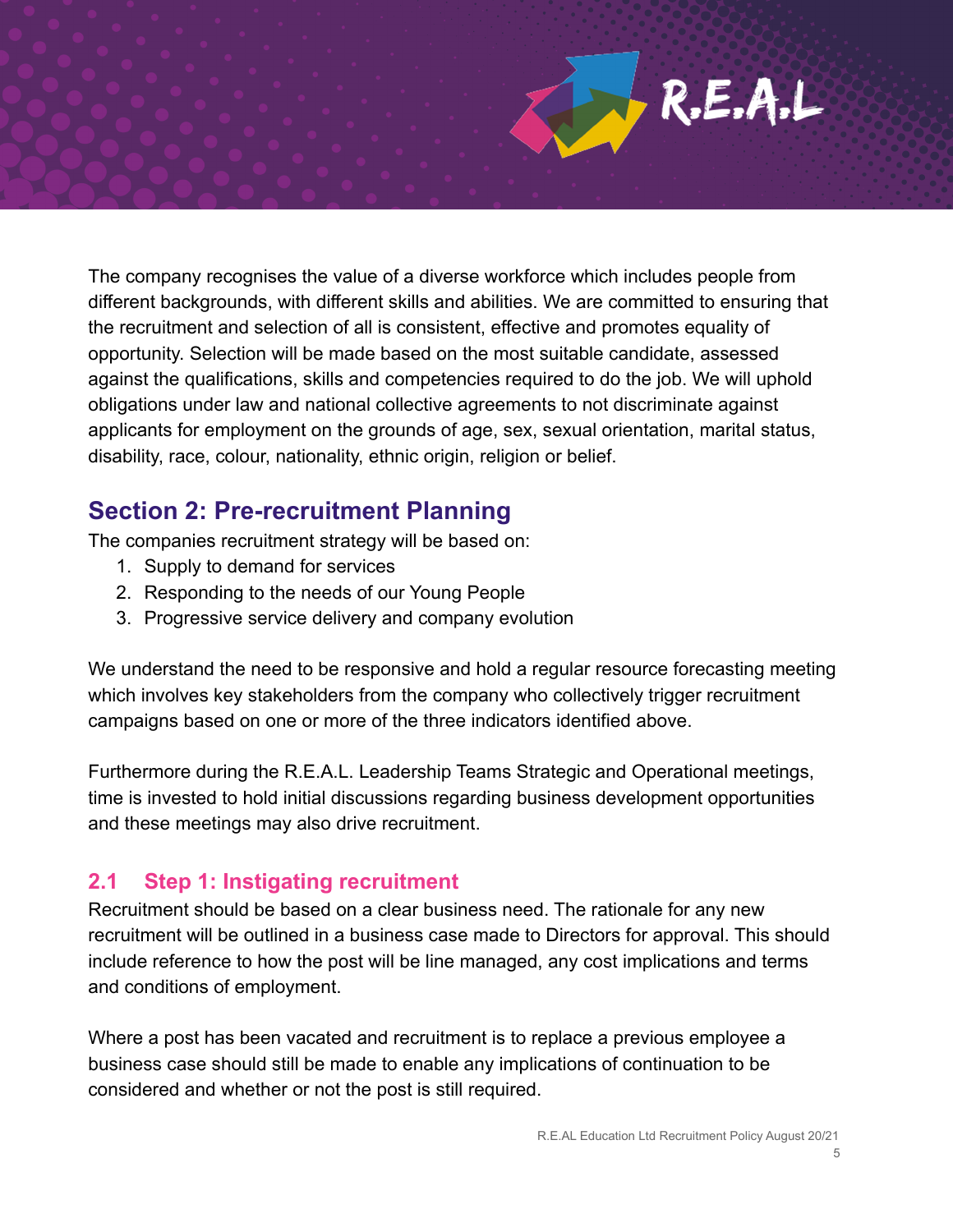R.E.A.L

The company recognises the value of a diverse workforce which includes people from different backgrounds, with different skills and abilities. We are committed to ensuring that the recruitment and selection of all is consistent, effective and promotes equality of opportunity. Selection will be made based on the most suitable candidate, assessed against the qualifications, skills and competencies required to do the job. We will uphold obligations under law and national collective agreements to not discriminate against applicants for employment on the grounds of age, sex, sexual orientation, marital status, disability, race, colour, nationality, ethnic origin, religion or belief.

## **Section 2: Pre-recruitment Planning**

The companies recruitment strategy will be based on:

- 1. Supply to demand for services
- 2. Responding to the needs of our Young People
- 3. Progressive service delivery and company evolution

We understand the need to be responsive and hold a regular resource forecasting meeting which involves key stakeholders from the company who collectively trigger recruitment campaigns based on one or more of the three indicators identified above.

Furthermore during the R.E.A.L. Leadership Teams Strategic and Operational meetings, time is invested to hold initial discussions regarding business development opportunities and these meetings may also drive recruitment.

#### **2.1 Step 1: Instigating recruitment**

Recruitment should be based on a clear business need. The rationale for any new recruitment will be outlined in a business case made to Directors for approval. This should include reference to how the post will be line managed, any cost implications and terms and conditions of employment.

Where a post has been vacated and recruitment is to replace a previous employee a business case should still be made to enable any implications of continuation to be considered and whether or not the post is still required.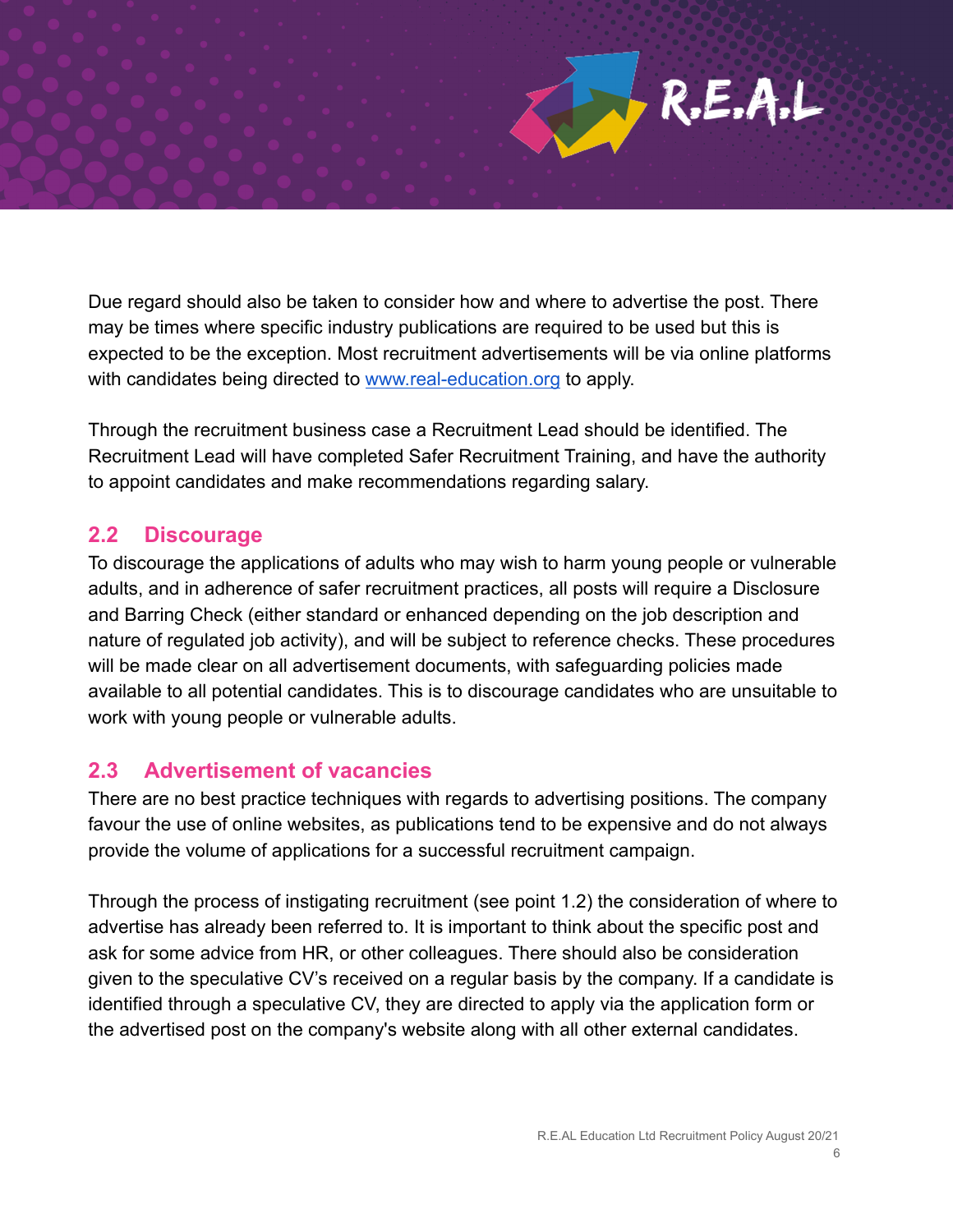

Due regard should also be taken to consider how and where to advertise the post. There may be times where specific industry publications are required to be used but this is expected to be the exception. Most recruitment advertisements will be via online platforms with candidates being directed to [www.real-education.org](http://www.real-education.org) to apply.

Through the recruitment business case a Recruitment Lead should be identified. The Recruitment Lead will have completed Safer Recruitment Training, and have the authority to appoint candidates and make recommendations regarding salary.

#### **2.2 Discourage**

To discourage the applications of adults who may wish to harm young people or vulnerable adults, and in adherence of safer recruitment practices, all posts will require a Disclosure and Barring Check (either standard or enhanced depending on the job description and nature of regulated job activity), and will be subject to reference checks. These procedures will be made clear on all advertisement documents, with safeguarding policies made available to all potential candidates. This is to discourage candidates who are unsuitable to work with young people or vulnerable adults.

#### **2.3 Advertisement of vacancies**

There are no best practice techniques with regards to advertising positions. The company favour the use of online websites, as publications tend to be expensive and do not always provide the volume of applications for a successful recruitment campaign.

Through the process of instigating recruitment (see point 1.2) the consideration of where to advertise has already been referred to. It is important to think about the specific post and ask for some advice from HR, or other colleagues. There should also be consideration given to the speculative CV's received on a regular basis by the company. If a candidate is identified through a speculative CV, they are directed to apply via the application form or the advertised post on the company's website along with all other external candidates.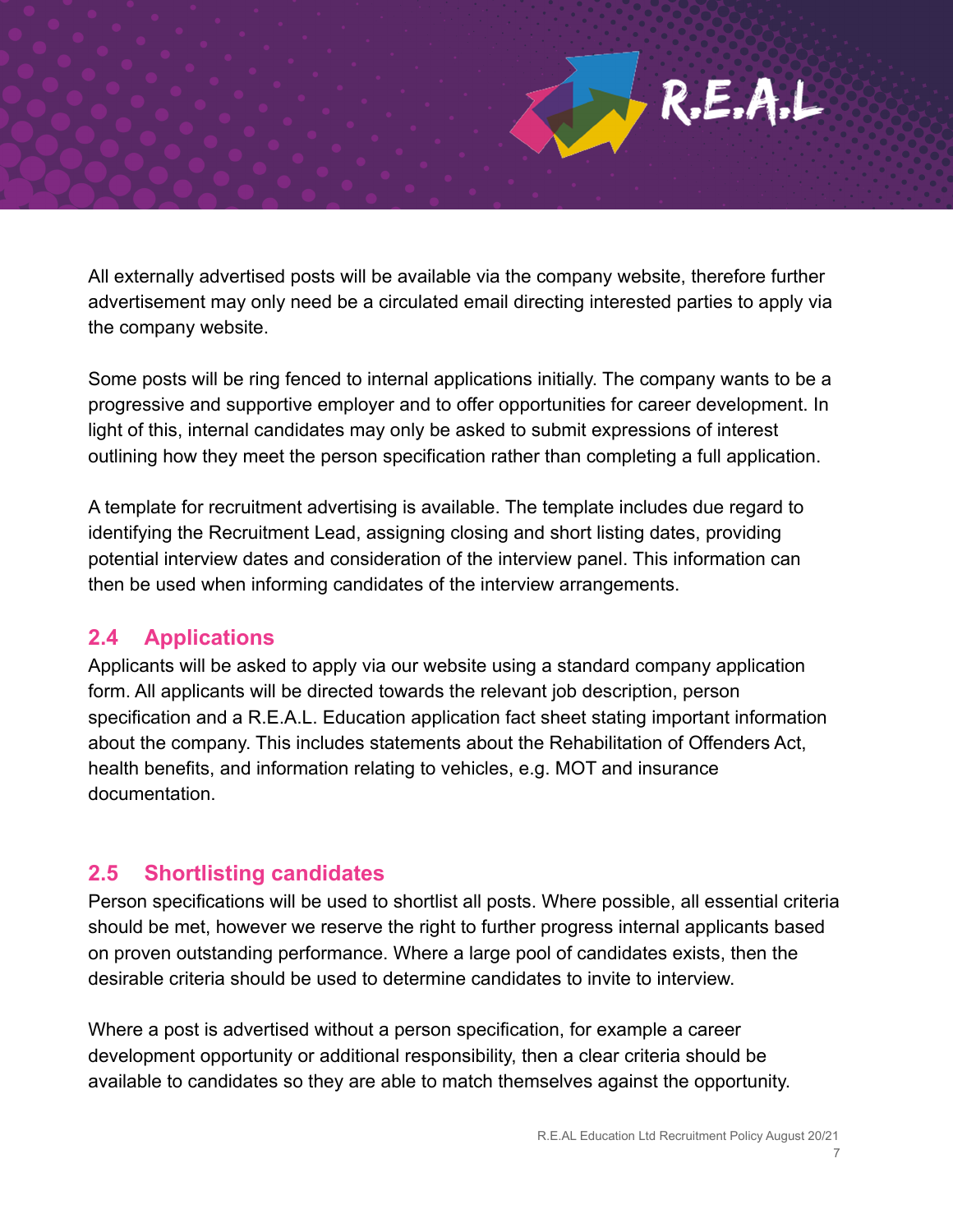R.E.A.L

All externally advertised posts will be available via the company website, therefore further advertisement may only need be a circulated email directing interested parties to apply via the company website.

Some posts will be ring fenced to internal applications initially. The company wants to be a progressive and supportive employer and to offer opportunities for career development. In light of this, internal candidates may only be asked to submit expressions of interest outlining how they meet the person specification rather than completing a full application.

A template for recruitment advertising is available. The template includes due regard to identifying the Recruitment Lead, assigning closing and short listing dates, providing potential interview dates and consideration of the interview panel. This information can then be used when informing candidates of the interview arrangements.

#### **2.4 Applications**

Applicants will be asked to apply via our website using a standard company application form. All applicants will be directed towards the relevant job description, person specification and a R.E.A.L. Education application fact sheet stating important information about the company. This includes statements about the Rehabilitation of Offenders Act, health benefits, and information relating to vehicles, e.g. MOT and insurance documentation.

#### **2.5 Shortlisting candidates**

Person specifications will be used to shortlist all posts. Where possible, all essential criteria should be met, however we reserve the right to further progress internal applicants based on proven outstanding performance. Where a large pool of candidates exists, then the desirable criteria should be used to determine candidates to invite to interview.

Where a post is advertised without a person specification, for example a career development opportunity or additional responsibility, then a clear criteria should be available to candidates so they are able to match themselves against the opportunity.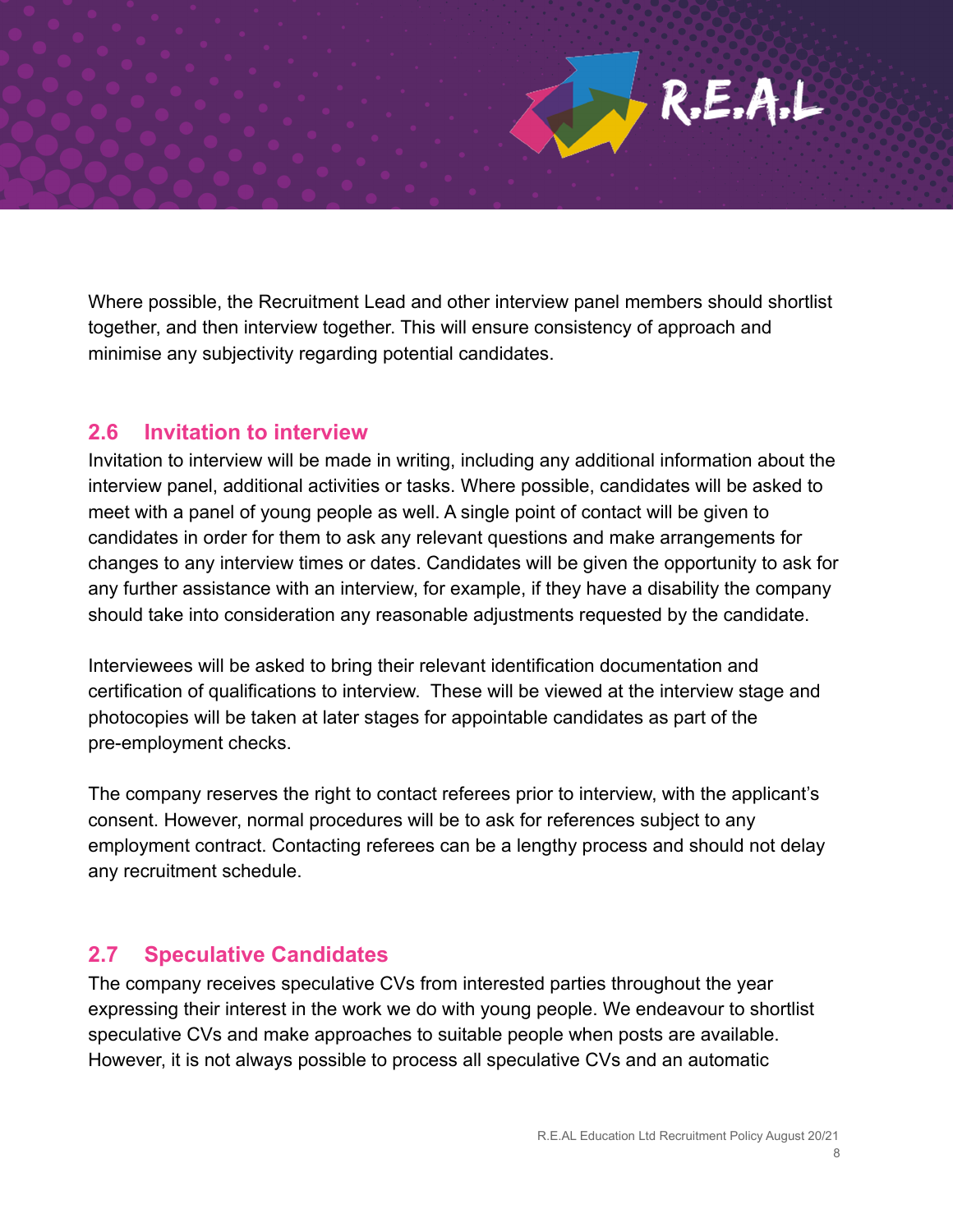Where possible, the Recruitment Lead and other interview panel members should shortlist together, and then interview together. This will ensure consistency of approach and minimise any subjectivity regarding potential candidates.

#### **2.6 Invitation to interview**

Invitation to interview will be made in writing, including any additional information about the interview panel, additional activities or tasks. Where possible, candidates will be asked to meet with a panel of young people as well. A single point of contact will be given to candidates in order for them to ask any relevant questions and make arrangements for changes to any interview times or dates. Candidates will be given the opportunity to ask for any further assistance with an interview, for example, if they have a disability the company should take into consideration any reasonable adjustments requested by the candidate.

Interviewees will be asked to bring their relevant identification documentation and certification of qualifications to interview. These will be viewed at the interview stage and photocopies will be taken at later stages for appointable candidates as part of the pre-employment checks.

The company reserves the right to contact referees prior to interview, with the applicant's consent. However, normal procedures will be to ask for references subject to any employment contract. Contacting referees can be a lengthy process and should not delay any recruitment schedule.

#### **2.7 Speculative Candidates**

The company receives speculative CVs from interested parties throughout the year expressing their interest in the work we do with young people. We endeavour to shortlist speculative CVs and make approaches to suitable people when posts are available. However, it is not always possible to process all speculative CVs and an automatic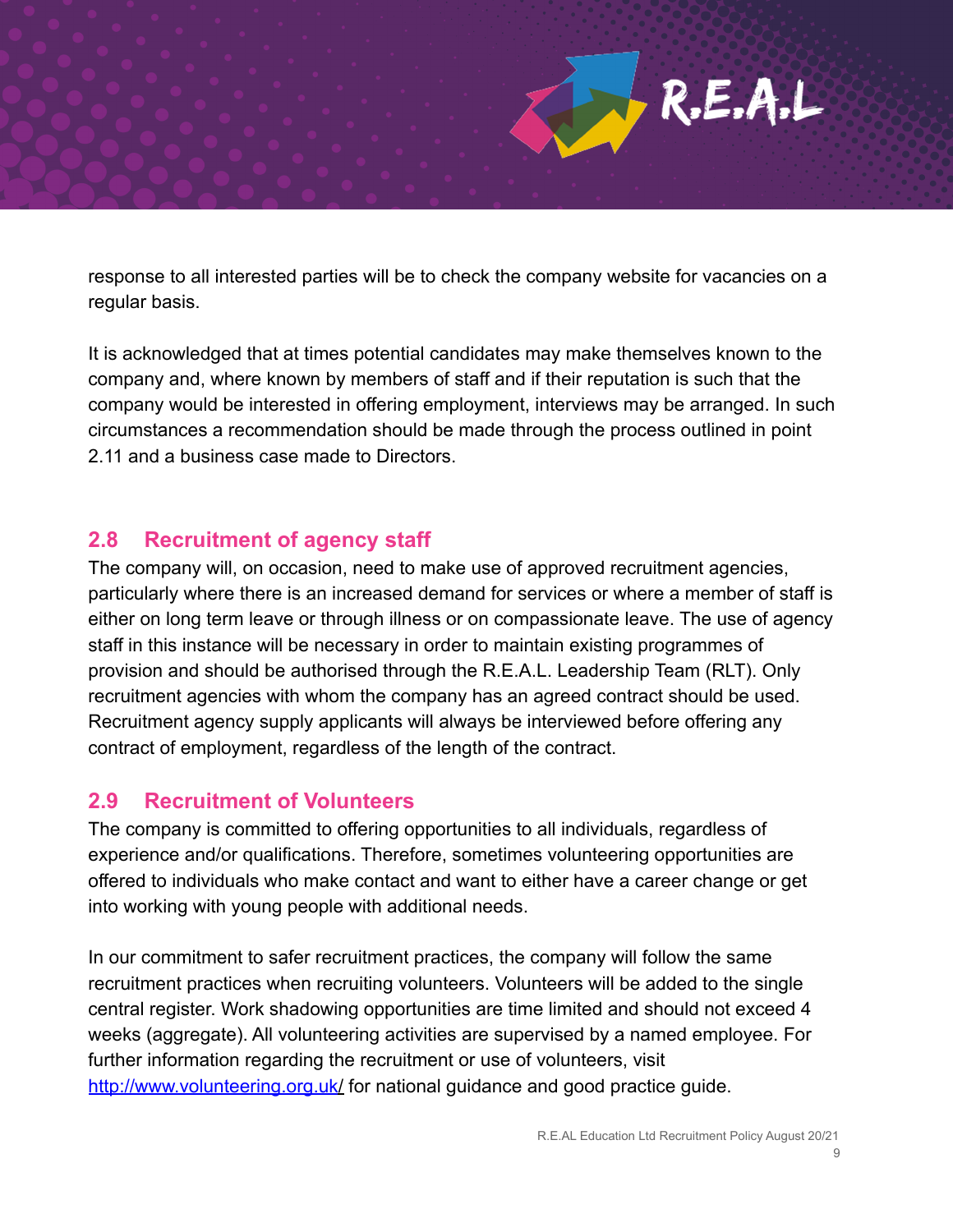

response to all interested parties will be to check the company website for vacancies on a regular basis.

It is acknowledged that at times potential candidates may make themselves known to the company and, where known by members of staff and if their reputation is such that the company would be interested in offering employment, interviews may be arranged. In such circumstances a recommendation should be made through the process outlined in point 2.11 and a business case made to Directors.

#### **2.8 Recruitment of agency staff**

The company will, on occasion, need to make use of approved recruitment agencies, particularly where there is an increased demand for services or where a member of staff is either on long term leave or through illness or on compassionate leave. The use of agency staff in this instance will be necessary in order to maintain existing programmes of provision and should be authorised through the R.E.A.L. Leadership Team (RLT). Only recruitment agencies with whom the company has an agreed contract should be used. Recruitment agency supply applicants will always be interviewed before offering any contract of employment, regardless of the length of the contract.

#### **2.9 Recruitment of Volunteers**

The company is committed to offering opportunities to all individuals, regardless of experience and/or qualifications. Therefore, sometimes volunteering opportunities are offered to individuals who make contact and want to either have a career change or get into working with young people with additional needs.

In our commitment to safer recruitment practices, the company will follow the same recruitment practices when recruiting volunteers. Volunteers will be added to the single central register. Work shadowing opportunities are time limited and should not exceed 4 weeks (aggregate). All volunteering activities are supervised by a named employee. For further information regarding the recruitment or use of volunteers, visit <http://www.volunteering.org.uk/> for national guidance and good practice guide.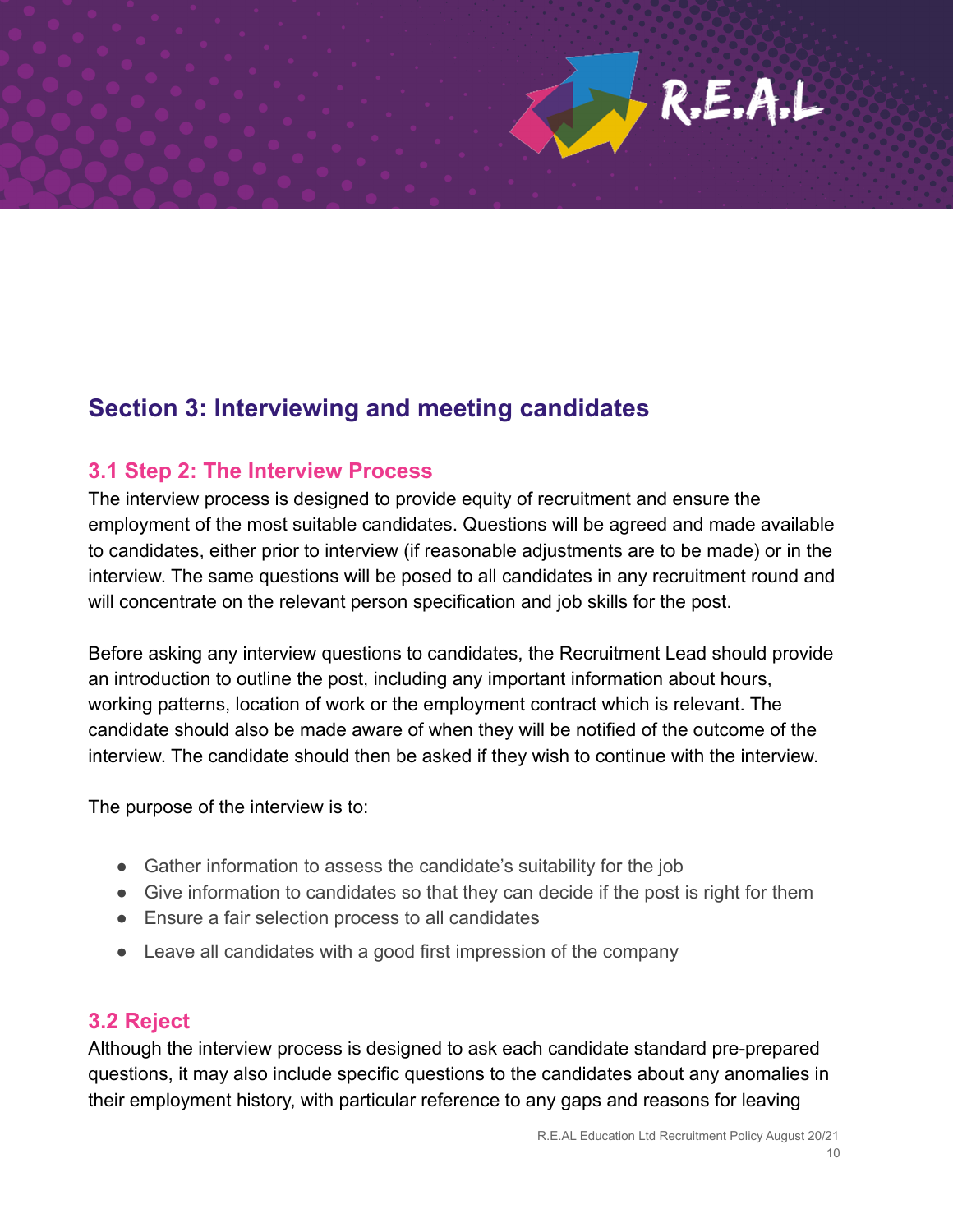

# **Section 3: Interviewing and meeting candidates**

#### **3.1 Step 2: The Interview Process**

The interview process is designed to provide equity of recruitment and ensure the employment of the most suitable candidates. Questions will be agreed and made available to candidates, either prior to interview (if reasonable adjustments are to be made) or in the interview. The same questions will be posed to all candidates in any recruitment round and will concentrate on the relevant person specification and job skills for the post.

Before asking any interview questions to candidates, the Recruitment Lead should provide an introduction to outline the post, including any important information about hours, working patterns, location of work or the employment contract which is relevant. The candidate should also be made aware of when they will be notified of the outcome of the interview. The candidate should then be asked if they wish to continue with the interview.

The purpose of the interview is to:

- Gather information to assess the candidate's suitability for the job
- Give information to candidates so that they can decide if the post is right for them
- Ensure a fair selection process to all candidates
- Leave all candidates with a good first impression of the company

#### **3.2 Reject**

Although the interview process is designed to ask each candidate standard pre-prepared questions, it may also include specific questions to the candidates about any anomalies in their employment history, with particular reference to any gaps and reasons for leaving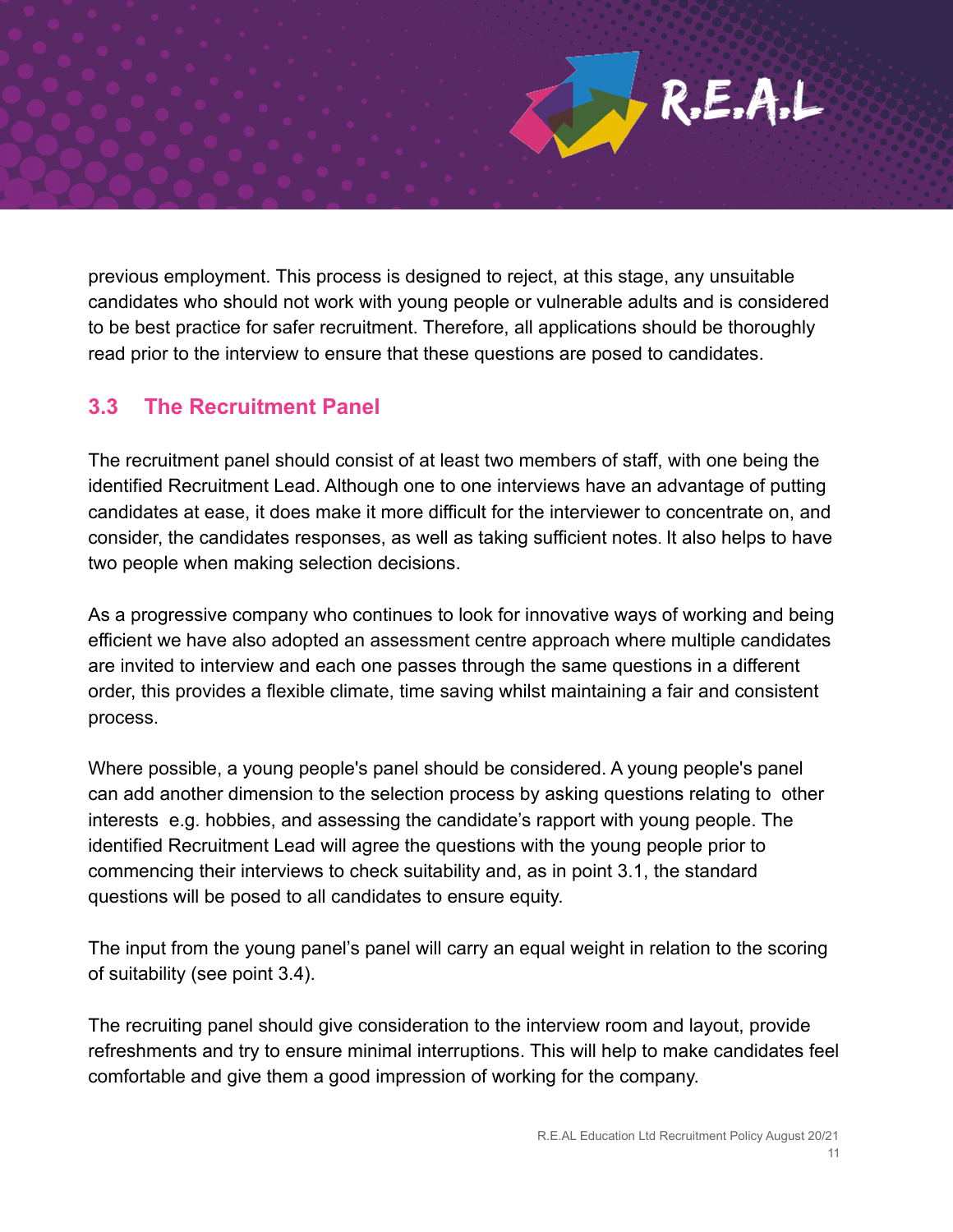previous employment. This process is designed to reject, at this stage, any unsuitable candidates who should not work with young people or vulnerable adults and is considered to be best practice for safer recruitment. Therefore, all applications should be thoroughly read prior to the interview to ensure that these questions are posed to candidates.

#### **3.3 The Recruitment Panel**

The recruitment panel should consist of at least two members of staff, with one being the identified Recruitment Lead. Although one to one interviews have an advantage of putting candidates at ease, it does make it more difficult for the interviewer to concentrate on, and consider, the candidates responses, as well as taking sufficient notes. It also helps to have two people when making selection decisions.

As a progressive company who continues to look for innovative ways of working and being efficient we have also adopted an assessment centre approach where multiple candidates are invited to interview and each one passes through the same questions in a different order, this provides a flexible climate, time saving whilst maintaining a fair and consistent process.

Where possible, a young people's panel should be considered. A young people's panel can add another dimension to the selection process by asking questions relating to other interests e.g. hobbies, and assessing the candidate's rapport with young people. The identified Recruitment Lead will agree the questions with the young people prior to commencing their interviews to check suitability and, as in point 3.1, the standard questions will be posed to all candidates to ensure equity.

The input from the young panel's panel will carry an equal weight in relation to the scoring of suitability (see point 3.4).

The recruiting panel should give consideration to the interview room and layout, provide refreshments and try to ensure minimal interruptions. This will help to make candidates feel comfortable and give them a good impression of working for the company.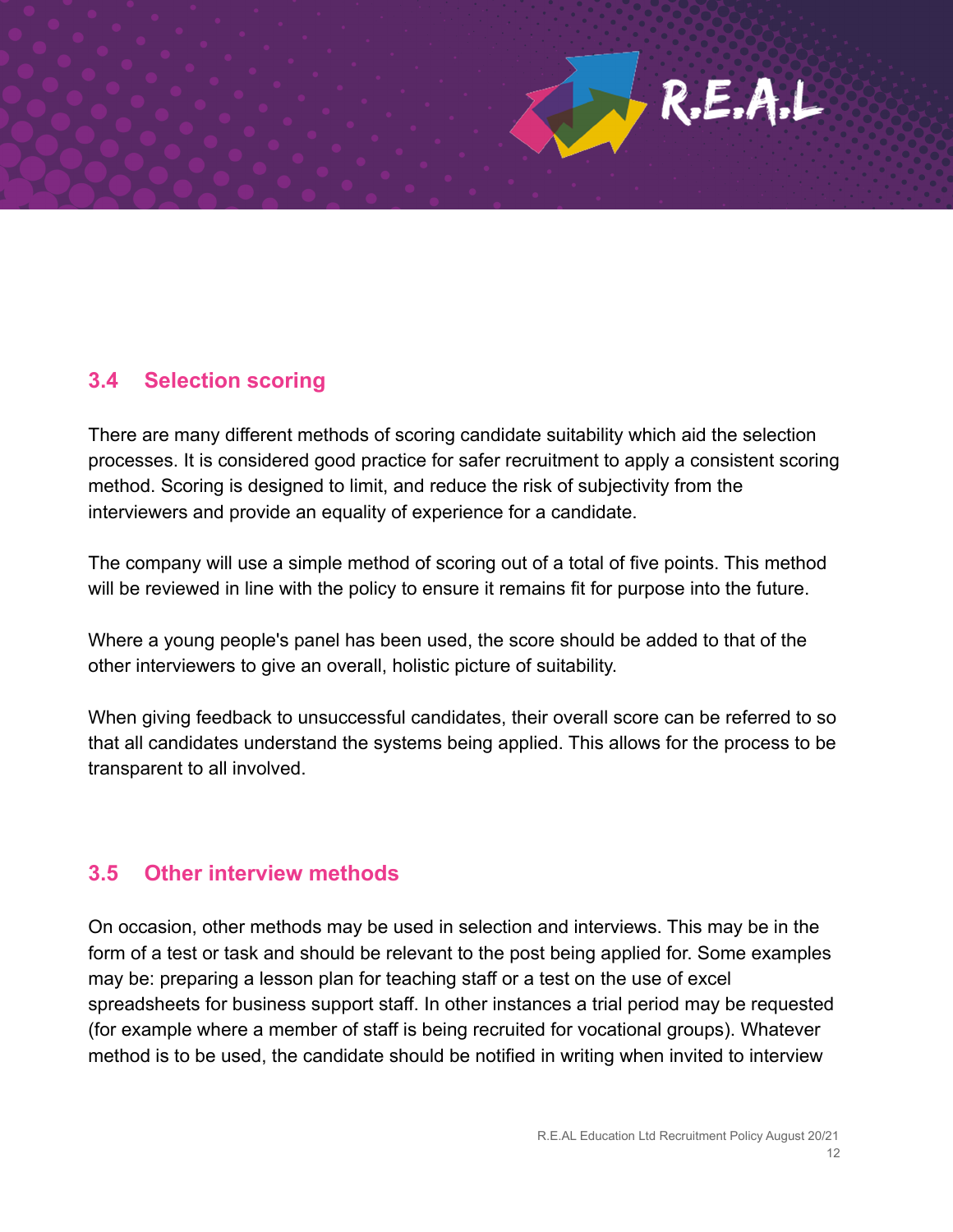

#### **3.4 Selection scoring**

There are many different methods of scoring candidate suitability which aid the selection processes. It is considered good practice for safer recruitment to apply a consistent scoring method. Scoring is designed to limit, and reduce the risk of subjectivity from the interviewers and provide an equality of experience for a candidate.

The company will use a simple method of scoring out of a total of five points. This method will be reviewed in line with the policy to ensure it remains fit for purpose into the future.

Where a young people's panel has been used, the score should be added to that of the other interviewers to give an overall, holistic picture of suitability.

When giving feedback to unsuccessful candidates, their overall score can be referred to so that all candidates understand the systems being applied. This allows for the process to be transparent to all involved.

#### **3.5 Other interview methods**

On occasion, other methods may be used in selection and interviews. This may be in the form of a test or task and should be relevant to the post being applied for. Some examples may be: preparing a lesson plan for teaching staff or a test on the use of excel spreadsheets for business support staff. In other instances a trial period may be requested (for example where a member of staff is being recruited for vocational groups). Whatever method is to be used, the candidate should be notified in writing when invited to interview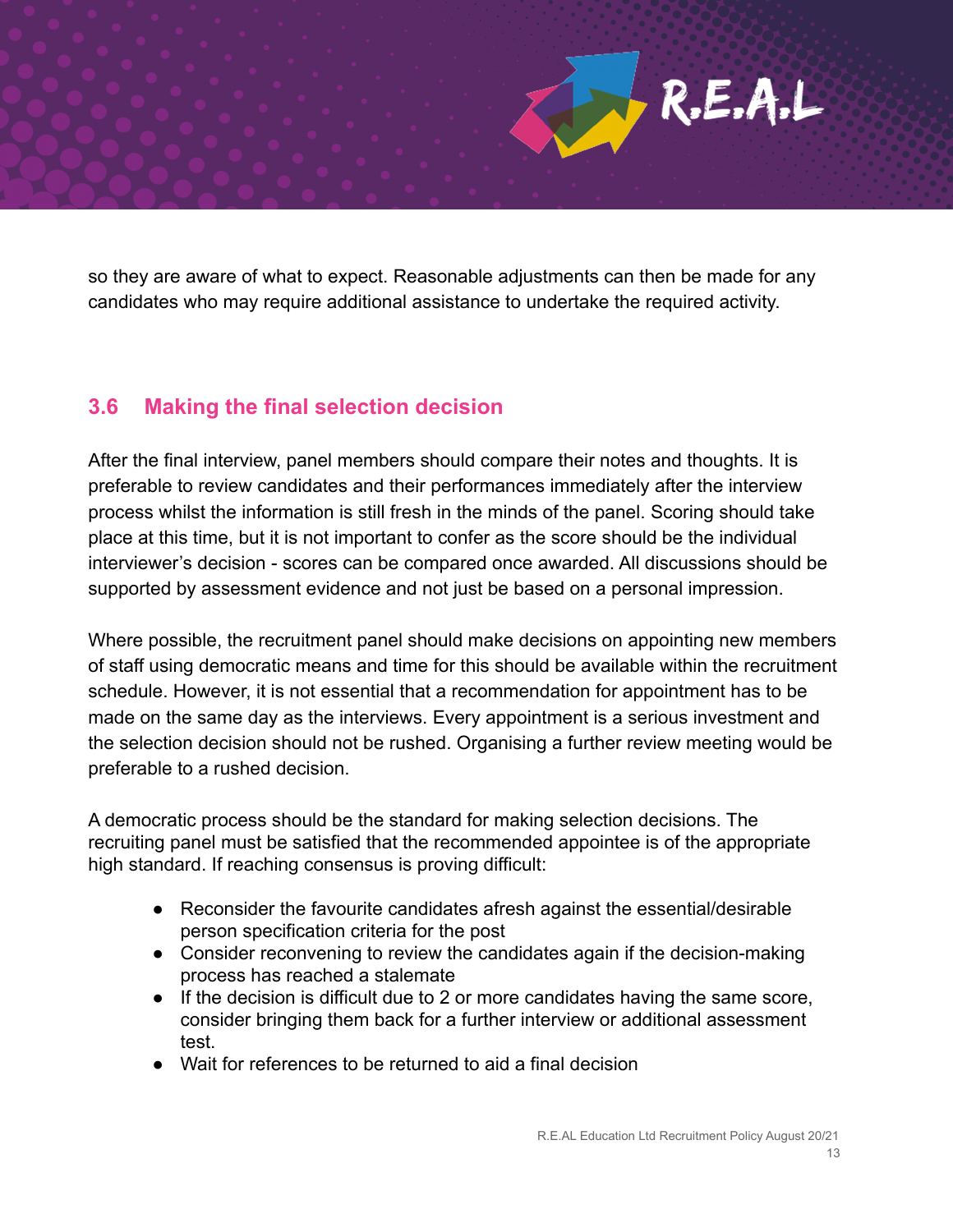so they are aware of what to expect. Reasonable adjustments can then be made for any candidates who may require additional assistance to undertake the required activity.

#### **3.6 Making the final selection decision**

After the final interview, panel members should compare their notes and thoughts. It is preferable to review candidates and their performances immediately after the interview process whilst the information is still fresh in the minds of the panel. Scoring should take place at this time, but it is not important to confer as the score should be the individual interviewer's decision - scores can be compared once awarded. All discussions should be supported by assessment evidence and not just be based on a personal impression.

Where possible, the recruitment panel should make decisions on appointing new members of staff using democratic means and time for this should be available within the recruitment schedule. However, it is not essential that a recommendation for appointment has to be made on the same day as the interviews. Every appointment is a serious investment and the selection decision should not be rushed. Organising a further review meeting would be preferable to a rushed decision.

A democratic process should be the standard for making selection decisions. The recruiting panel must be satisfied that the recommended appointee is of the appropriate high standard. If reaching consensus is proving difficult:

- Reconsider the favourite candidates afresh against the essential/desirable person specification criteria for the post
- Consider reconvening to review the candidates again if the decision-making process has reached a stalemate
- If the decision is difficult due to 2 or more candidates having the same score, consider bringing them back for a further interview or additional assessment test.
- Wait for references to be returned to aid a final decision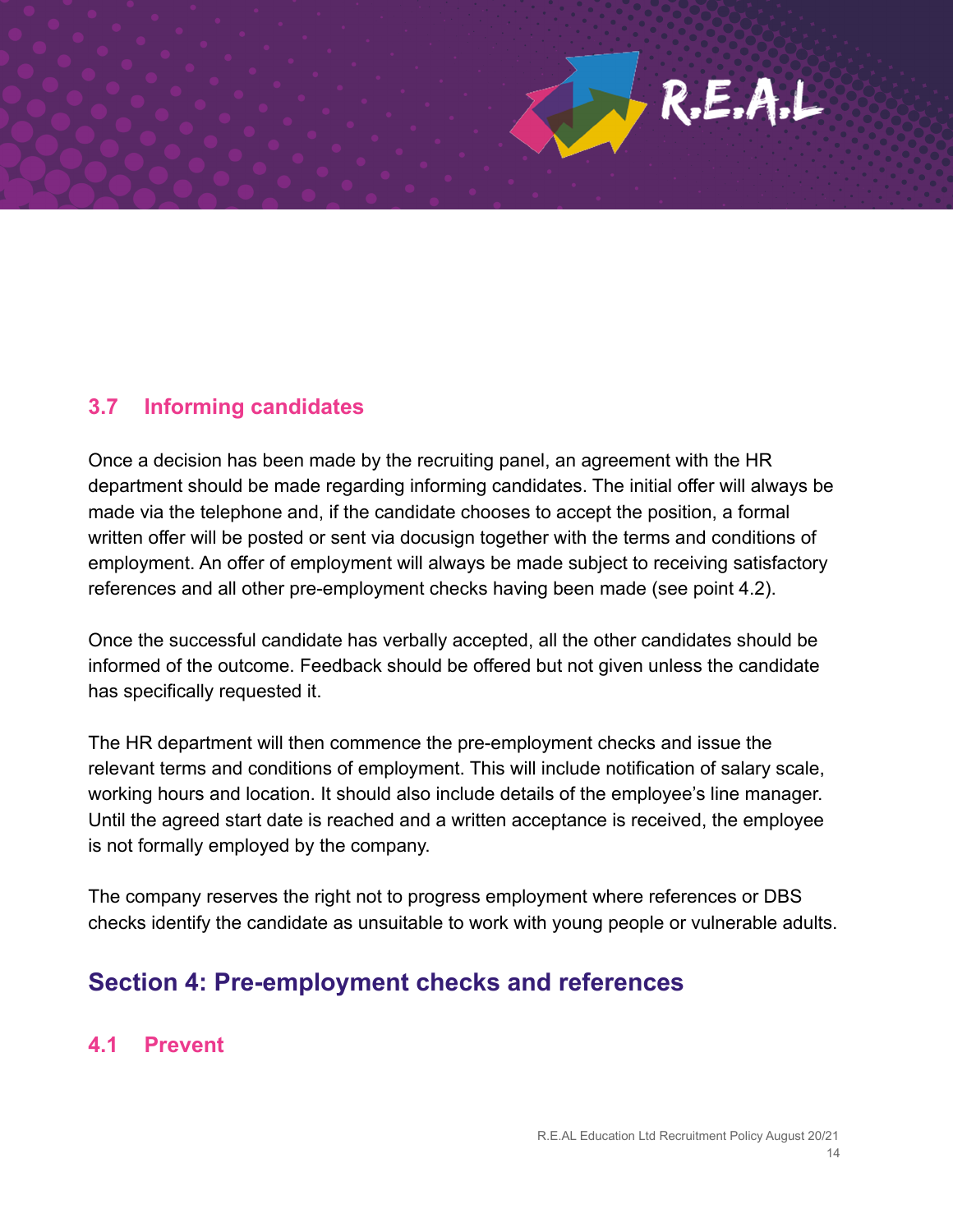

#### **3.7 Informing candidates**

Once a decision has been made by the recruiting panel, an agreement with the HR department should be made regarding informing candidates. The initial offer will always be made via the telephone and, if the candidate chooses to accept the position, a formal written offer will be posted or sent via docusign together with the terms and conditions of employment. An offer of employment will always be made subject to receiving satisfactory references and all other pre-employment checks having been made (see point 4.2).

Once the successful candidate has verbally accepted, all the other candidates should be informed of the outcome. Feedback should be offered but not given unless the candidate has specifically requested it.

The HR department will then commence the pre-employment checks and issue the relevant terms and conditions of employment. This will include notification of salary scale, working hours and location. It should also include details of the employee's line manager. Until the agreed start date is reached and a written acceptance is received, the employee is not formally employed by the company.

The company reserves the right not to progress employment where references or DBS checks identify the candidate as unsuitable to work with young people or vulnerable adults.

# **Section 4: Pre-employment checks and references**

#### **4.1 Prevent**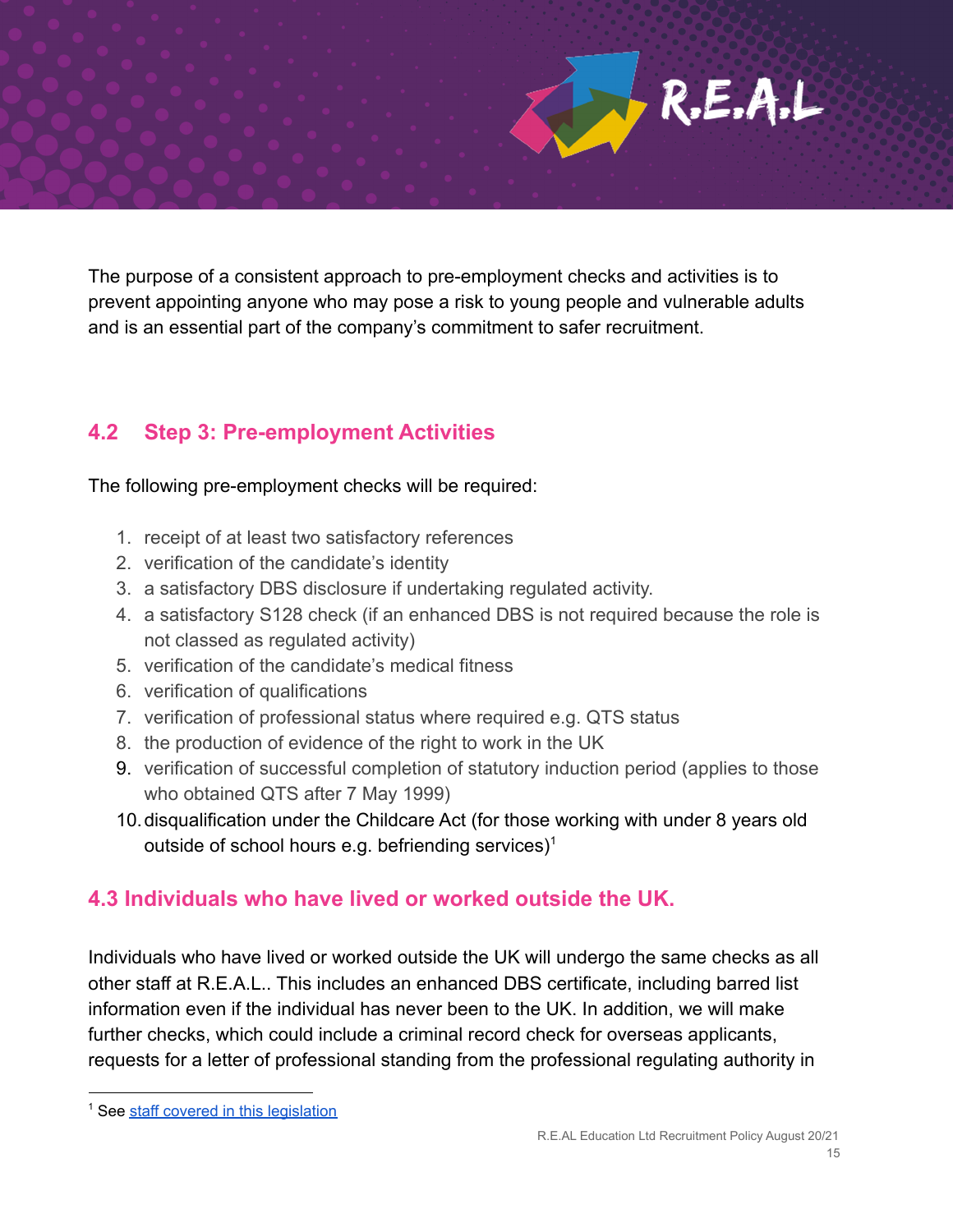The purpose of a consistent approach to pre-employment checks and activities is to prevent appointing anyone who may pose a risk to young people and vulnerable adults and is an essential part of the company's commitment to safer recruitment.

#### **4.2 Step 3: Pre-employment Activities**

The following pre-employment checks will be required:

- 1. receipt of at least two satisfactory references
- 2. verification of the candidate's identity
- 3. a satisfactory DBS disclosure if undertaking regulated activity.
- 4. a satisfactory S128 check (if an enhanced DBS is not required because the role is not classed as regulated activity)
- 5. verification of the candidate's medical fitness
- 6. verification of qualifications
- 7. verification of professional status where required e.g. QTS status
- 8. the production of evidence of the right to work in the UK
- 9. verification of successful completion of statutory induction period (applies to those who obtained QTS after 7 May 1999)
- 10.disqualification under the Childcare Act (for those working with under 8 years old outside of school hours e.g. befriending services)<sup>1</sup>

#### **4.3 Individuals who have lived or worked outside the UK.**

Individuals who have lived or worked outside the UK will undergo the same checks as all other staff at R.E.A.L.. This includes an enhanced DBS certificate, including barred list information even if the individual has never been to the UK. In addition, we will make further checks, which could include a criminal record check for overseas applicants, requests for a letter of professional standing from the professional regulating authority in

<sup>&</sup>lt;sup>1</sup> See staff covered in this [legislation](https://www.gov.uk/government/publications/disqualification-under-the-childcare-act-2006/disqualification-under-the-childcare-act-2006#staff-covered)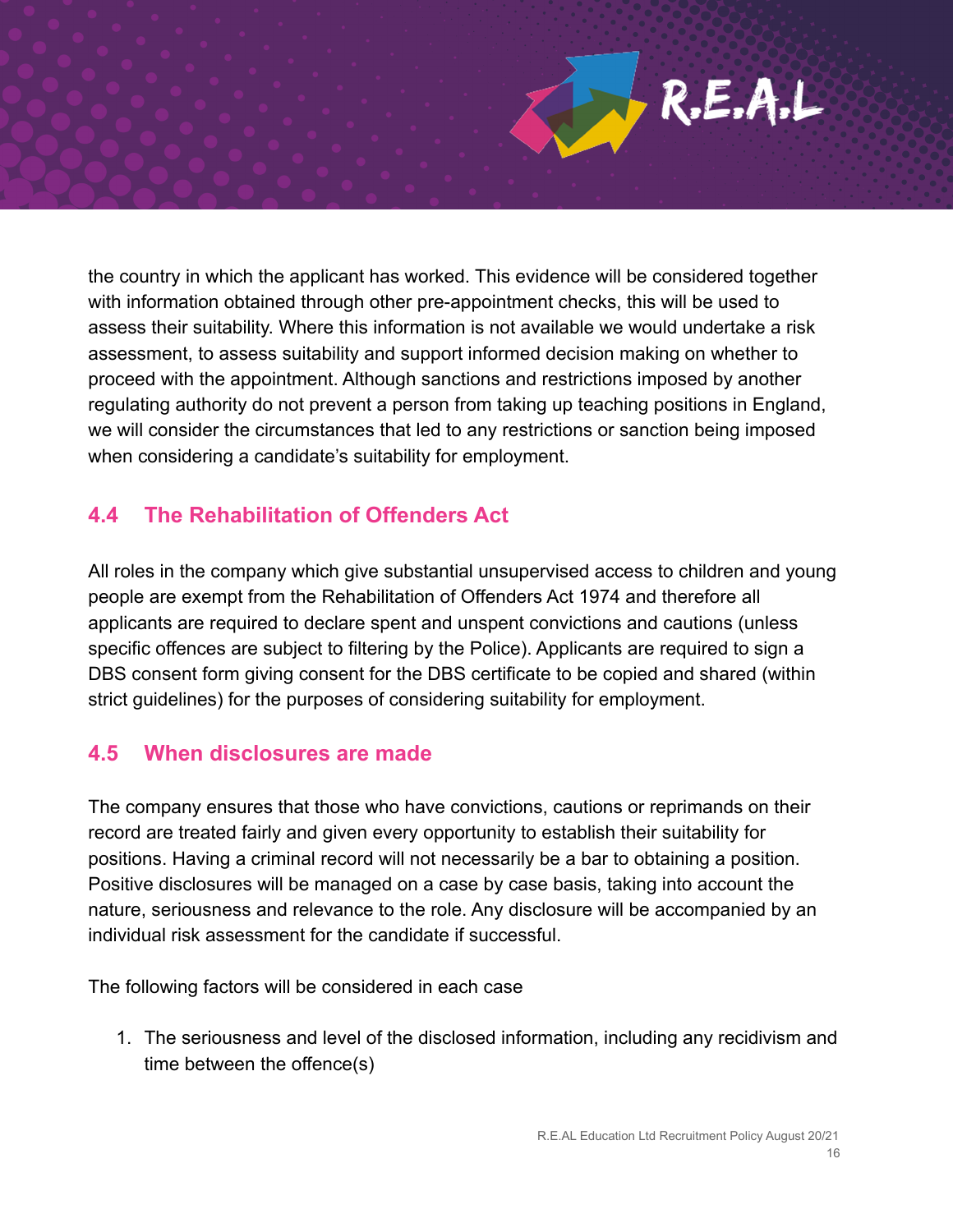

the country in which the applicant has worked. This evidence will be considered together with information obtained through other pre-appointment checks, this will be used to assess their suitability. Where this information is not available we would undertake a risk assessment, to assess suitability and support informed decision making on whether to proceed with the appointment. Although sanctions and restrictions imposed by another regulating authority do not prevent a person from taking up teaching positions in England, we will consider the circumstances that led to any restrictions or sanction being imposed when considering a candidate's suitability for employment.

#### **4.4 The Rehabilitation of Offenders Act**

All roles in the company which give substantial unsupervised access to children and young people are exempt from the Rehabilitation of Offenders Act 1974 and therefore all applicants are required to declare spent and unspent convictions and cautions (unless specific offences are subject to filtering by the Police). Applicants are required to sign a DBS consent form giving consent for the DBS certificate to be copied and shared (within strict guidelines) for the purposes of considering suitability for employment.

#### **4.5 When disclosures are made**

The company ensures that those who have convictions, cautions or reprimands on their record are treated fairly and given every opportunity to establish their suitability for positions. Having a criminal record will not necessarily be a bar to obtaining a position. Positive disclosures will be managed on a case by case basis, taking into account the nature, seriousness and relevance to the role. Any disclosure will be accompanied by an individual risk assessment for the candidate if successful.

The following factors will be considered in each case

1. The seriousness and level of the disclosed information, including any recidivism and time between the offence(s)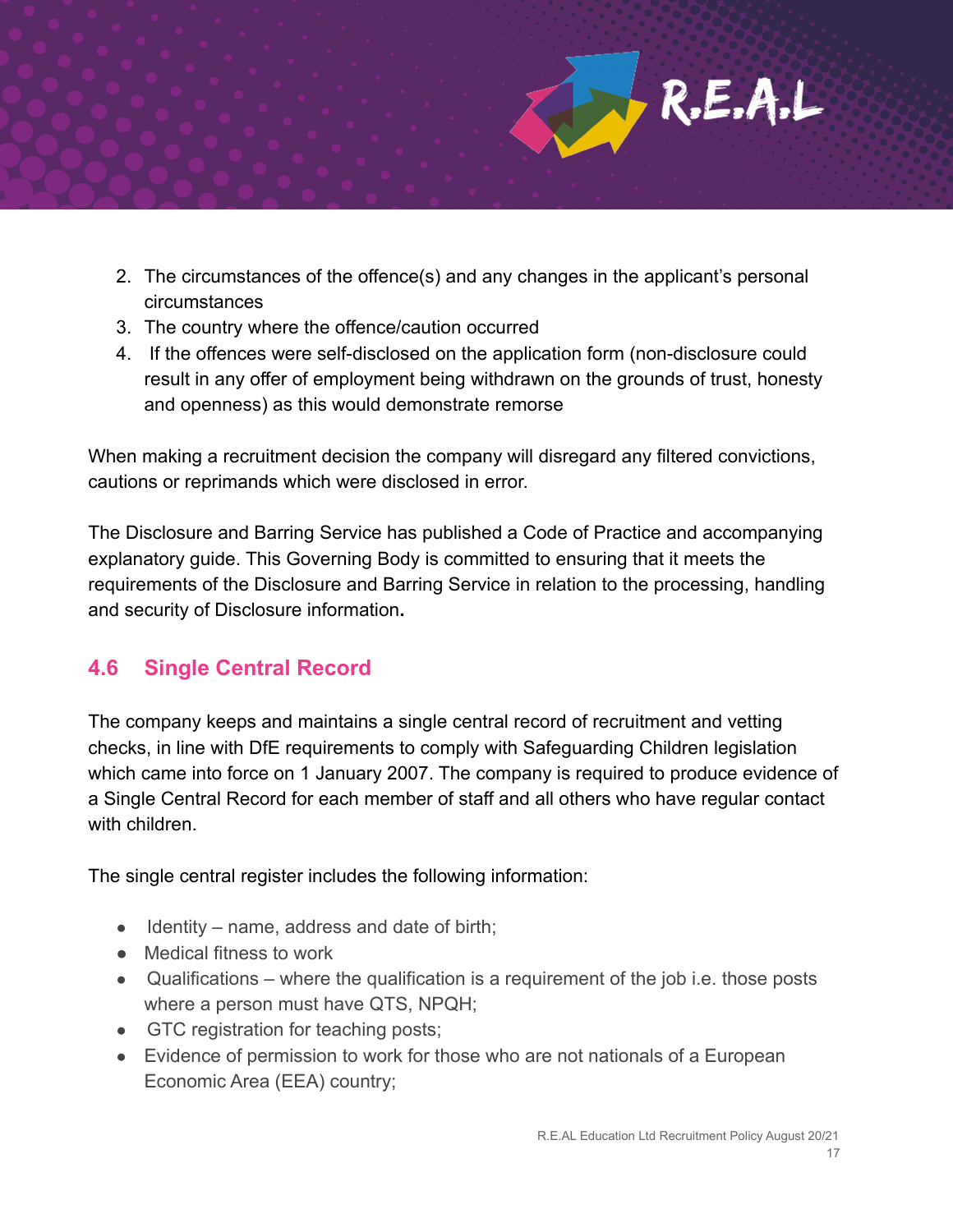

- 2. The circumstances of the offence(s) and any changes in the applicant's personal circumstances
- 3. The country where the offence/caution occurred
- 4. If the offences were self-disclosed on the application form (non-disclosure could result in any offer of employment being withdrawn on the grounds of trust, honesty and openness) as this would demonstrate remorse

When making a recruitment decision the company will disregard any filtered convictions, cautions or reprimands which were disclosed in error.

The Disclosure and Barring Service has published a Code of Practice and accompanying explanatory guide. This Governing Body is committed to ensuring that it meets the requirements of the Disclosure and Barring Service in relation to the processing, handling and security of Disclosure information**.**

#### **4.6 Single Central Record**

The company keeps and maintains a single central record of recruitment and vetting checks, in line with DfE requirements to comply with Safeguarding Children legislation which came into force on 1 January 2007. The company is required to produce evidence of a Single Central Record for each member of staff and all others who have regular contact with children

The single central register includes the following information:

- Identity name, address and date of birth;
- Medical fitness to work
- Qualifications where the qualification is a requirement of the job i.e. those posts where a person must have QTS, NPQH;
- GTC registration for teaching posts;
- Evidence of permission to work for those who are not nationals of a European Economic Area (EEA) country;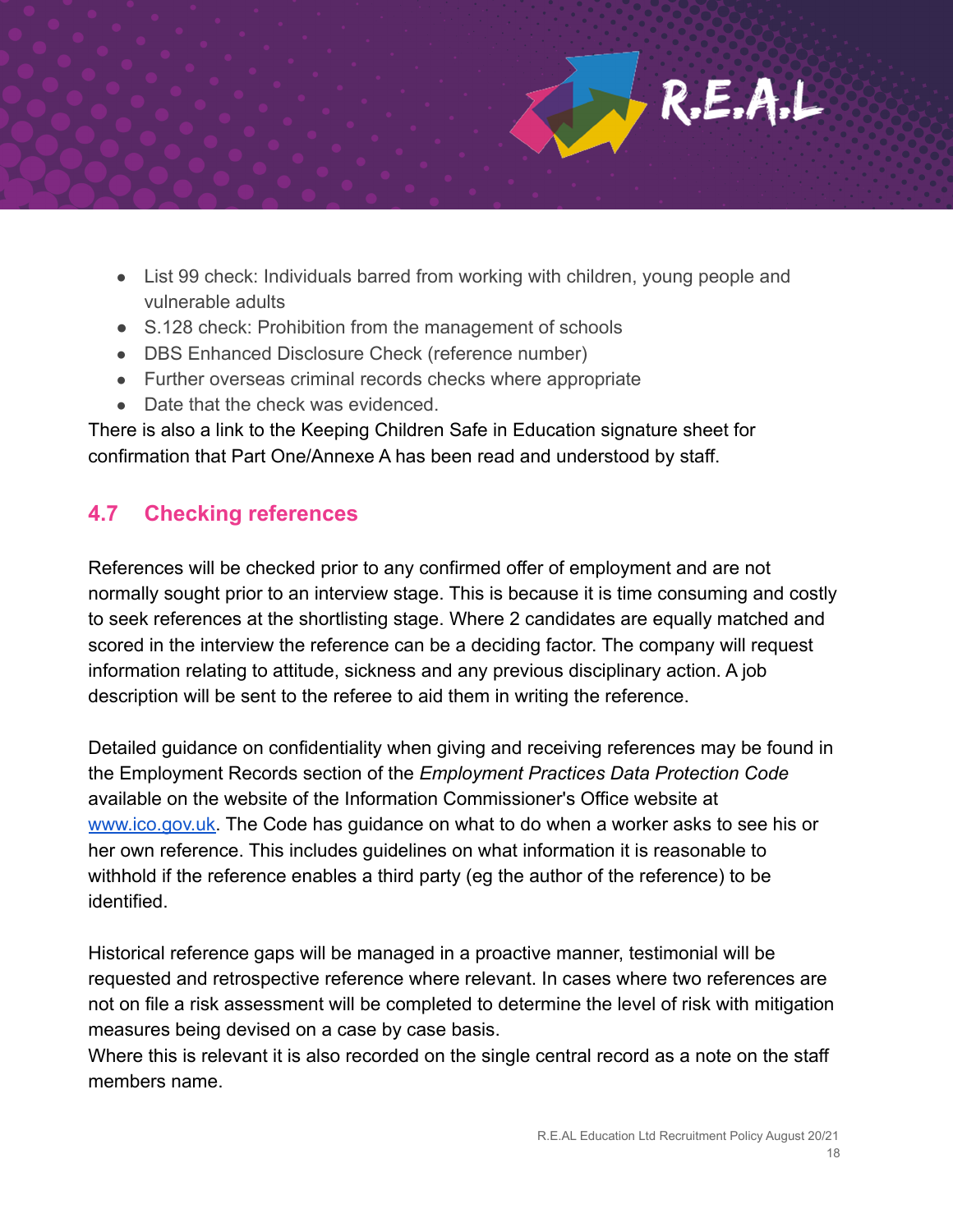

- List 99 check: Individuals barred from working with children, young people and vulnerable adults
- S.128 check: Prohibition from the management of schools
- DBS Enhanced Disclosure Check (reference number)
- Further overseas criminal records checks where appropriate
- Date that the check was evidenced.

There is also a link to the Keeping Children Safe in Education signature sheet for confirmation that Part One/Annexe A has been read and understood by staff.

### **4.7 Checking references**

References will be checked prior to any confirmed offer of employment and are not normally sought prior to an interview stage. This is because it is time consuming and costly to seek references at the shortlisting stage. Where 2 candidates are equally matched and scored in the interview the reference can be a deciding factor. The company will request information relating to attitude, sickness and any previous disciplinary action. A job description will be sent to the referee to aid them in writing the reference.

Detailed guidance on confidentiality when giving and receiving references may be found in the Employment Records section of the *Employment Practices Data Protection Code* available on the website of the Information Commissioner's Office website at [www.ico.gov.uk.](http://www.ico.gov.uk) The Code has guidance on what to do when a worker asks to see his or her own reference. This includes guidelines on what information it is reasonable to withhold if the reference enables a third party (eg the author of the reference) to be identified.

Historical reference gaps will be managed in a proactive manner, testimonial will be requested and retrospective reference where relevant. In cases where two references are not on file a risk assessment will be completed to determine the level of risk with mitigation measures being devised on a case by case basis.

Where this is relevant it is also recorded on the single central record as a note on the staff members name.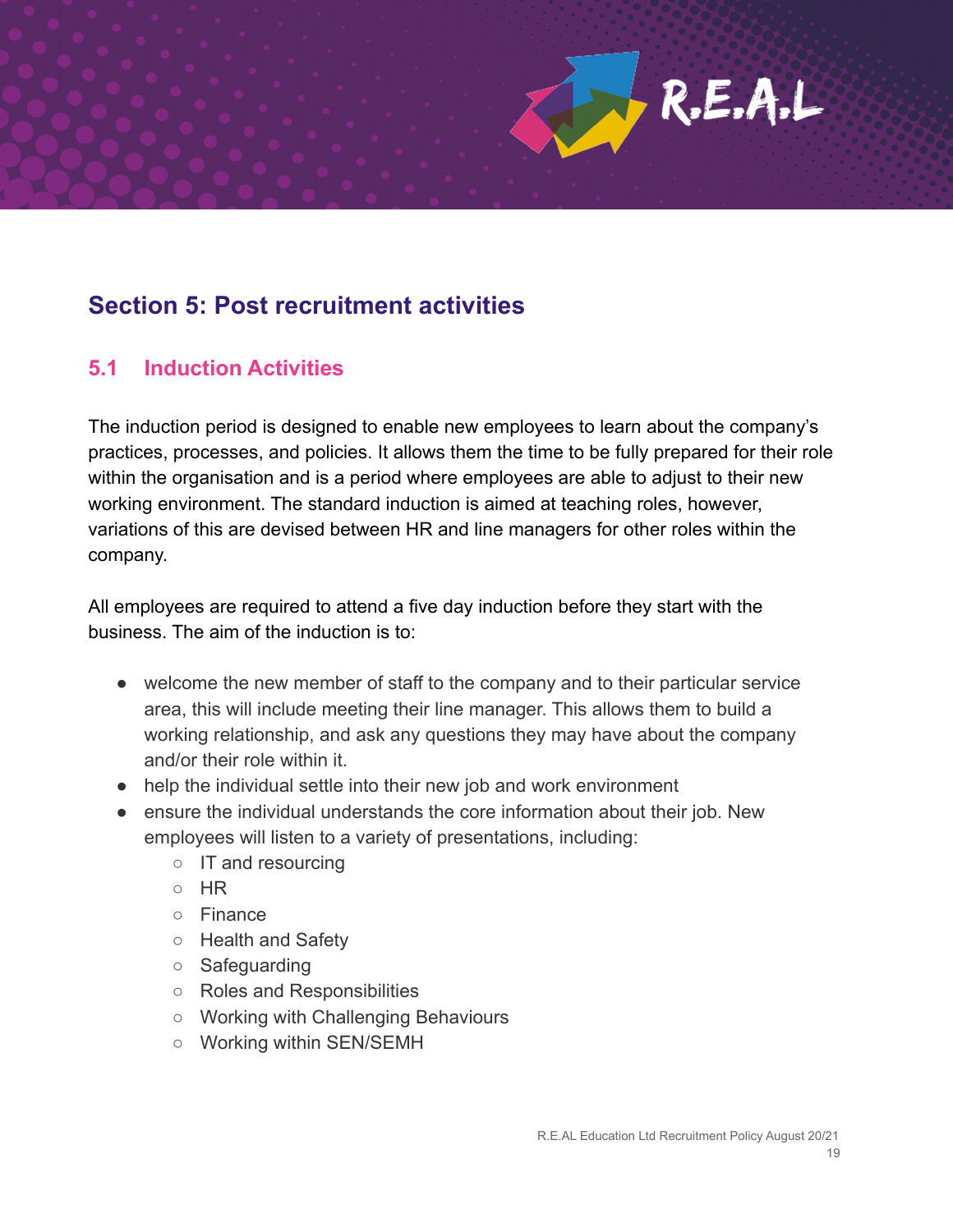# **Section 5: Post recruitment activities**

#### **5.1 Induction Activities**

The induction period is designed to enable new employees to learn about the company's practices, processes, and policies. It allows them the time to be fully prepared for their role within the organisation and is a period where employees are able to adjust to their new working environment. The standard induction is aimed at teaching roles, however, variations of this are devised between HR and line managers for other roles within the company.

All employees are required to attend a five day induction before they start with the business. The aim of the induction is to:

- welcome the new member of staff to the company and to their particular service area, this will include meeting their line manager. This allows them to build a working relationship, and ask any questions they may have about the company and/or their role within it.
- help the individual settle into their new job and work environment
- ensure the individual understands the core information about their job. New employees will listen to a variety of presentations, including:
	- IT and resourcing
	- HR
	- Finance
	- Health and Safety
	- Safeguarding
	- Roles and Responsibilities
	- Working with Challenging Behaviours
	- Working within SEN/SEMH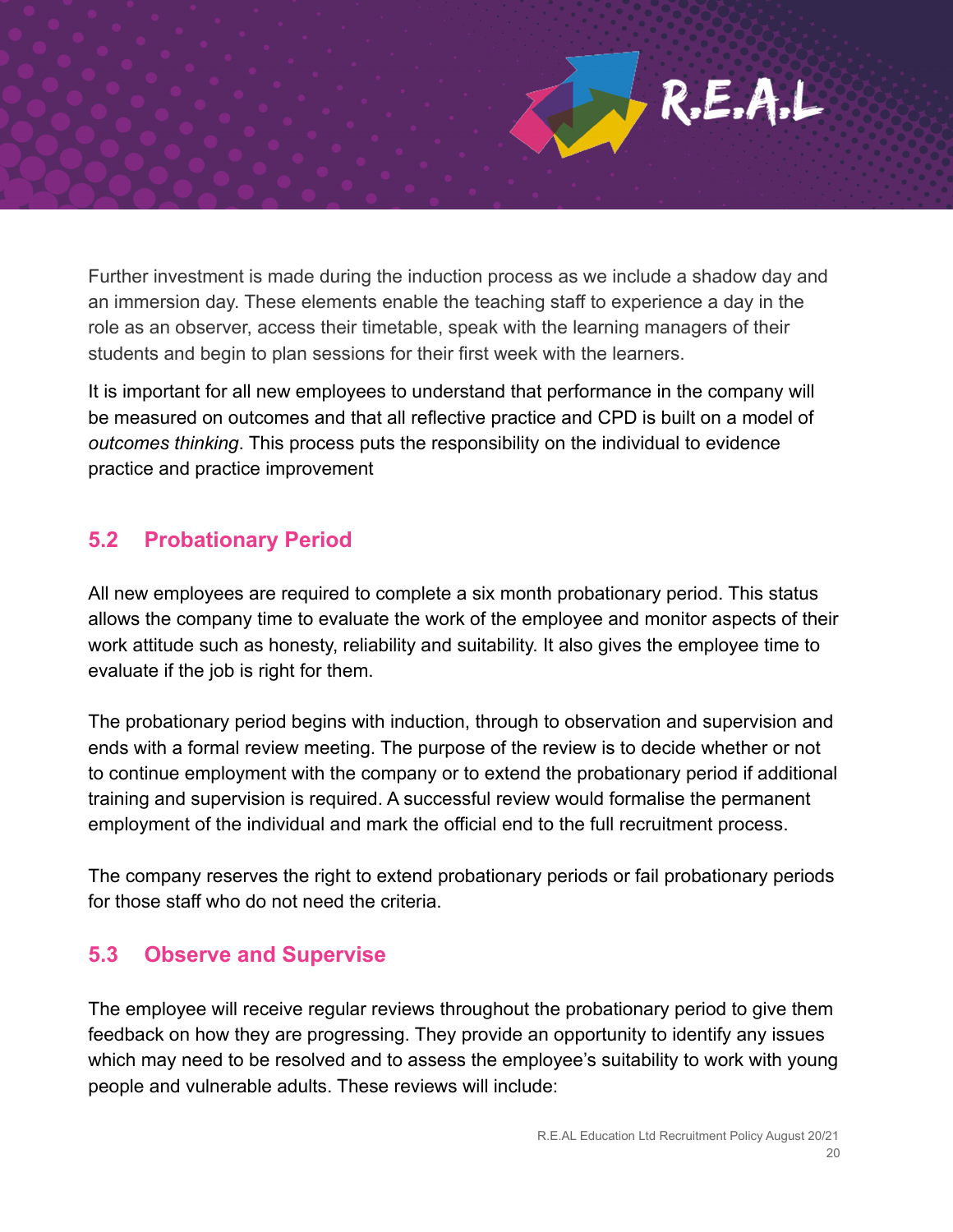Further investment is made during the induction process as we include a shadow day and an immersion day. These elements enable the teaching staff to experience a day in the role as an observer, access their timetable, speak with the learning managers of their students and begin to plan sessions for their first week with the learners.

It is important for all new employees to understand that performance in the company will be measured on outcomes and that all reflective practice and CPD is built on a model of *outcomes thinking*. This process puts the responsibility on the individual to evidence practice and practice improvement

#### **5.2 Probationary Period**

All new employees are required to complete a six month probationary period. This status allows the company time to evaluate the work of the employee and monitor aspects of their work attitude such as honesty, reliability and suitability. It also gives the employee time to evaluate if the job is right for them.

The probationary period begins with induction, through to observation and supervision and ends with a formal review meeting. The purpose of the review is to decide whether or not to continue employment with the company or to extend the probationary period if additional training and supervision is required. A successful review would formalise the permanent employment of the individual and mark the official end to the full recruitment process.

The company reserves the right to extend probationary periods or fail probationary periods for those staff who do not need the criteria.

#### **5.3 Observe and Supervise**

The employee will receive regular reviews throughout the probationary period to give them feedback on how they are progressing. They provide an opportunity to identify any issues which may need to be resolved and to assess the employee's suitability to work with young people and vulnerable adults. These reviews will include: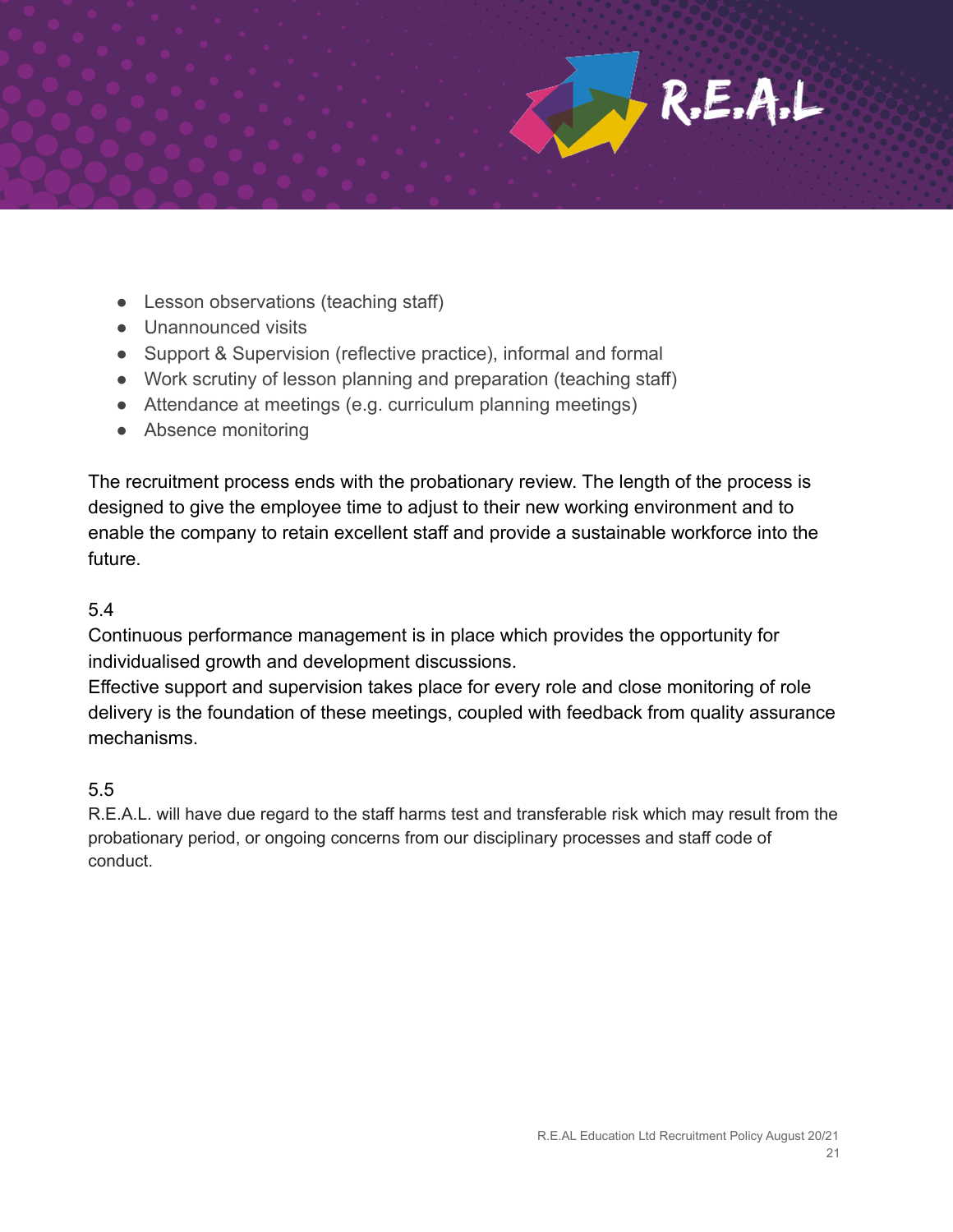

- Lesson observations (teaching staff)
- Unannounced visits
- Support & Supervision (reflective practice), informal and formal
- Work scrutiny of lesson planning and preparation (teaching staff)
- Attendance at meetings (e.g. curriculum planning meetings)
- Absence monitoring

The recruitment process ends with the probationary review. The length of the process is designed to give the employee time to adjust to their new working environment and to enable the company to retain excellent staff and provide a sustainable workforce into the future.

#### 5.4

Continuous performance management is in place which provides the opportunity for individualised growth and development discussions.

Effective support and supervision takes place for every role and close monitoring of role delivery is the foundation of these meetings, coupled with feedback from quality assurance mechanisms.

#### 5.5

R.E.A.L. will have due regard to the staff harms test and transferable risk which may result from the probationary period, or ongoing concerns from our disciplinary processes and staff code of conduct.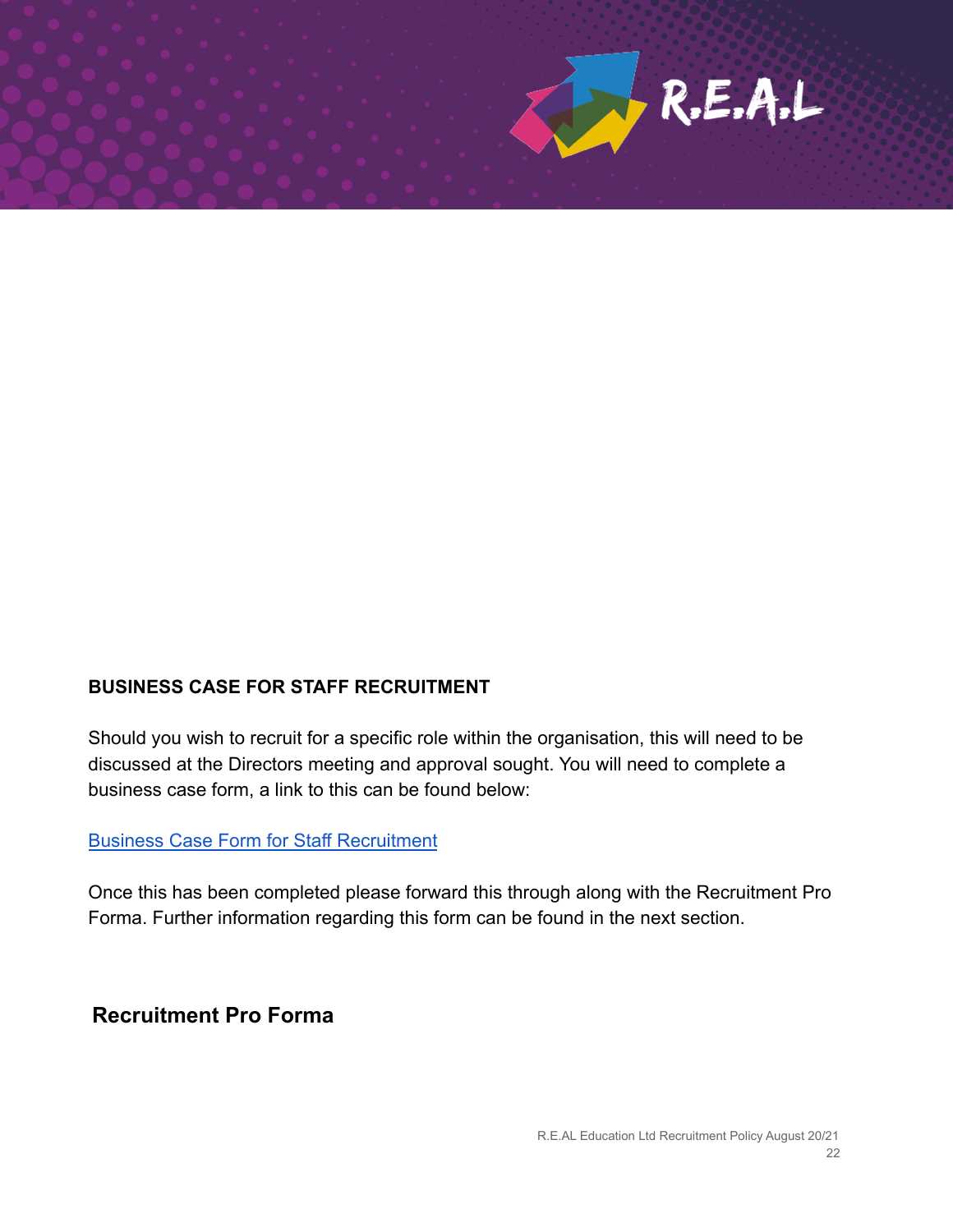

#### **BUSINESS CASE FOR STAFF RECRUITMENT**

Should you wish to recruit for a specific role within the organisation, this will need to be discussed at the Directors meeting and approval sought. You will need to complete a business case form, a link to this can be found below:

#### [Business Case Form for Staff Recruitment](https://docs.google.com/document/d/10EWeFUsYxSX20Z8C6qsoZDz4sntELRxmVKT4t33JfqE/edit)

Once this has been completed please forward this through along with the Recruitment Pro Forma. Further information regarding this form can be found in the next section.

**Recruitment Pro Forma**